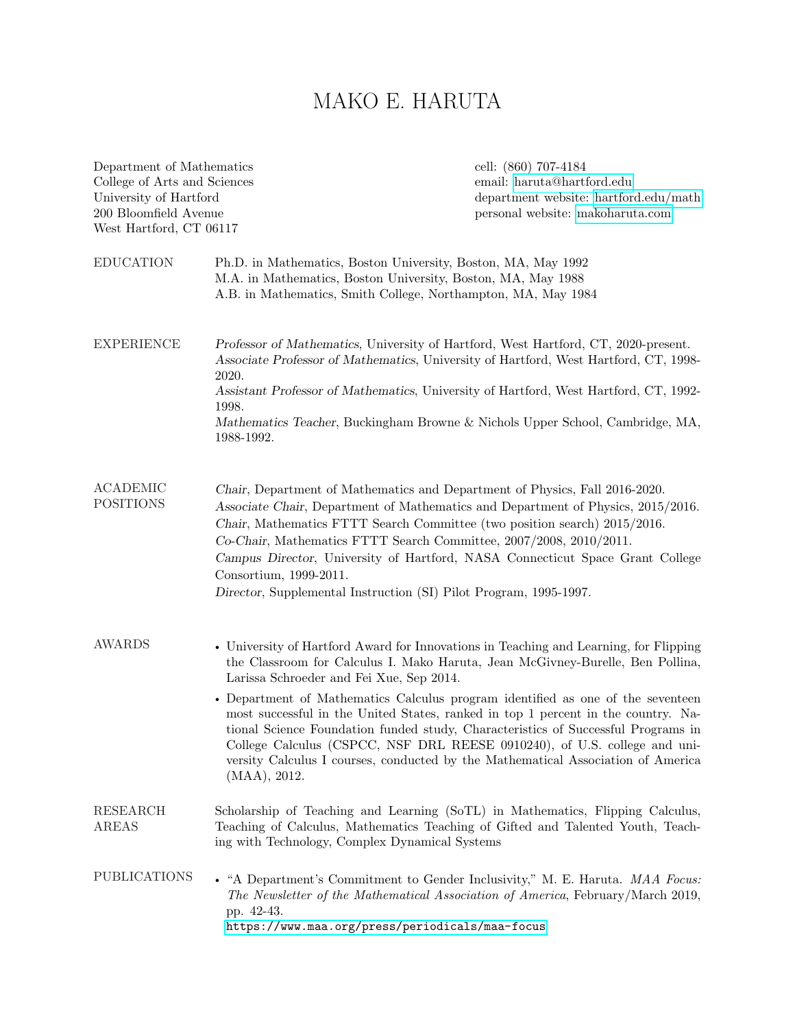# MAKO E. HARUTA

| Department of Mathematics<br>College of Arts and Sciences<br>University of Hartford<br>200 Bloomfield Avenue<br>West Hartford, CT 06117 |                                                                                                                                                                                                                                                                                                                                                                                                                                                                                                    | cell: (860) 707-4184<br>email: haruta@hartford.edu<br>department website: hartford.edu/math<br>personal website: makoharuta.com                                                                                                                                                                                                                                                                                                                                                                                                                                                                       |  |
|-----------------------------------------------------------------------------------------------------------------------------------------|----------------------------------------------------------------------------------------------------------------------------------------------------------------------------------------------------------------------------------------------------------------------------------------------------------------------------------------------------------------------------------------------------------------------------------------------------------------------------------------------------|-------------------------------------------------------------------------------------------------------------------------------------------------------------------------------------------------------------------------------------------------------------------------------------------------------------------------------------------------------------------------------------------------------------------------------------------------------------------------------------------------------------------------------------------------------------------------------------------------------|--|
| <b>EDUCATION</b>                                                                                                                        | Ph.D. in Mathematics, Boston University, Boston, MA, May 1992<br>M.A. in Mathematics, Boston University, Boston, MA, May 1988<br>A.B. in Mathematics, Smith College, Northampton, MA, May 1984                                                                                                                                                                                                                                                                                                     |                                                                                                                                                                                                                                                                                                                                                                                                                                                                                                                                                                                                       |  |
| <b>EXPERIENCE</b>                                                                                                                       | Professor of Mathematics, University of Hartford, West Hartford, CT, 2020-present.<br>Associate Professor of Mathematics, University of Hartford, West Hartford, CT, 1998-<br>2020.<br>Assistant Professor of Mathematics, University of Hartford, West Hartford, CT, 1992-<br>1998.<br>Mathematics Teacher, Buckingham Browne & Nichols Upper School, Cambridge, MA,<br>1988-1992.                                                                                                                |                                                                                                                                                                                                                                                                                                                                                                                                                                                                                                                                                                                                       |  |
| <b>ACADEMIC</b><br><b>POSITIONS</b>                                                                                                     | Chair, Department of Mathematics and Department of Physics, Fall 2016-2020.<br>Associate Chair, Department of Mathematics and Department of Physics, 2015/2016.<br>Chair, Mathematics FTTT Search Committee (two position search) 2015/2016.<br>Co-Chair, Mathematics FTTT Search Committee, 2007/2008, 2010/2011.<br>Campus Director, University of Hartford, NASA Connecticut Space Grant College<br>Consortium, 1999-2011.<br>Director, Supplemental Instruction (SI) Pilot Program, 1995-1997. |                                                                                                                                                                                                                                                                                                                                                                                                                                                                                                                                                                                                       |  |
| <b>AWARDS</b>                                                                                                                           | Larissa Schroeder and Fei Xue, Sep 2014.<br>(MAA), 2012.                                                                                                                                                                                                                                                                                                                                                                                                                                           | • University of Hartford Award for Innovations in Teaching and Learning, for Flipping<br>the Classroom for Calculus I. Mako Haruta, Jean McGivney-Burelle, Ben Pollina,<br>• Department of Mathematics Calculus program identified as one of the seventeen<br>most successful in the United States, ranked in top 1 percent in the country. Na-<br>tional Science Foundation funded study, Characteristics of Successful Programs in<br>College Calculus (CSPCC, NSF DRL REESE 0910240), of U.S. college and uni-<br>versity Calculus I courses, conducted by the Mathematical Association of America |  |
| <b>RESEARCH</b><br>AREAS                                                                                                                | Scholarship of Teaching and Learning (SoTL) in Mathematics, Flipping Calculus,<br>Teaching of Calculus, Mathematics Teaching of Gifted and Talented Youth, Teach-<br>ing with Technology, Complex Dynamical Systems                                                                                                                                                                                                                                                                                |                                                                                                                                                                                                                                                                                                                                                                                                                                                                                                                                                                                                       |  |
| <b>PUBLICATIONS</b>                                                                                                                     | pp. 42-43.<br>https://www.maa.org/press/periodicals/maa-focus                                                                                                                                                                                                                                                                                                                                                                                                                                      | • "A Department's Commitment to Gender Inclusivity," M. E. Haruta. MAA Focus:<br>The Newsletter of the Mathematical Association of America, February/March 2019,                                                                                                                                                                                                                                                                                                                                                                                                                                      |  |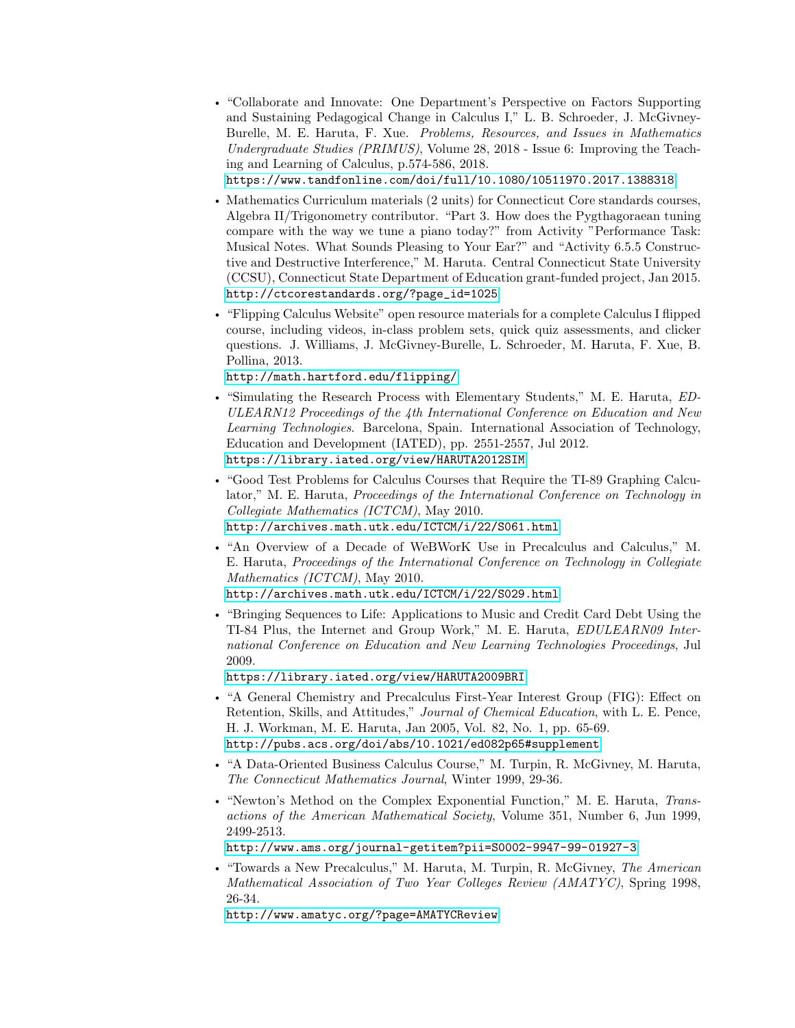• "Collaborate and Innovate: One Department's Perspective on Factors Supporting and Sustaining Pedagogical Change in Calculus I," L. B. Schroeder, J. McGivney-Burelle, M. E. Haruta, F. Xue. Problems, Resources, and Issues in Mathematics Undergraduate Studies (PRIMUS), Volume 28, 2018 - Issue 6: Improving the Teaching and Learning of Calculus, p.574-586, 2018.

<https://www.tandfonline.com/doi/full/10.1080/10511970.2017.1388318>

- Mathematics Curriculum materials (2 units) for Connecticut Core standards courses, Algebra II/Trigonometry contributor. "Part 3. How does the Pygthagoraean tuning compare with the way we tune a piano today?" from Activity "Performance Task: Musical Notes. What Sounds Pleasing to Your Ear?" and "Activity 6.5.5 Constructive and Destructive Interference," M. Haruta. Central Connecticut State University (CCSU), Connecticut State Department of Education grant-funded project, Jan 2015. [http://ctcorestandards.org/?page\\_id=1025](http://ctcorestandards.org/?page_id=1025)
- "Flipping Calculus Website" open resource materials for a complete Calculus I flipped course, including videos, in-class problem sets, quick quiz assessments, and clicker questions. J. Williams, J. McGivney-Burelle, L. Schroeder, M. Haruta, F. Xue, B. Pollina, 2013.

# <http://math.hartford.edu/flipping/>

- "Simulating the Research Process with Elementary Students," M. E. Haruta, ED-ULEARN12 Proceedings of the 4th International Conference on Education and New Learning Technologies. Barcelona, Spain. International Association of Technology, Education and Development (IATED), pp. 2551-2557, Jul 2012. <https://library.iated.org/view/HARUTA2012SIM>
- "Good Test Problems for Calculus Courses that Require the TI-89 Graphing Calculator," M. E. Haruta, *Proceedings of the International Conference on Technology in* Collegiate Mathematics (ICTCM), May 2010. <http://archives.math.utk.edu/ICTCM/i/22/S061.html>
- "An Overview of a Decade of WeBWorK Use in Precalculus and Calculus," M. E. Haruta, Proceedings of the International Conference on Technology in Collegiate Mathematics (ICTCM), May 2010.

<http://archives.math.utk.edu/ICTCM/i/22/S029.html>

• "Bringing Sequences to Life: Applications to Music and Credit Card Debt Using the TI-84 Plus, the Internet and Group Work," M. E. Haruta, EDULEARN09 International Conference on Education and New Learning Technologies Proceedings, Jul 2009.

<https://library.iated.org/view/HARUTA2009BRI>

- "A General Chemistry and Precalculus First-Year Interest Group (FIG): Effect on Retention, Skills, and Attitudes," Journal of Chemical Education, with L. E. Pence, H. J. Workman, M. E. Haruta, Jan 2005, Vol. 82, No. 1, pp. 65-69. <http://pubs.acs.org/doi/abs/10.1021/ed082p65#supplement>
- "A Data-Oriented Business Calculus Course," M. Turpin, R. McGivney, M. Haruta, The Connecticut Mathematics Journal, Winter 1999, 29-36.
- "Newton's Method on the Complex Exponential Function," M. E. Haruta, Transactions of the American Mathematical Society, Volume 351, Number 6, Jun 1999, 2499-2513.

<http://www.ams.org/journal-getitem?pii=S0002-9947-99-01927-3>

• "Towards a New Precalculus," M. Haruta, M. Turpin, R. McGivney, The American Mathematical Association of Two Year Colleges Review (AMATYC), Spring 1998, 26-34.

<http://www.amatyc.org/?page=AMATYCReview>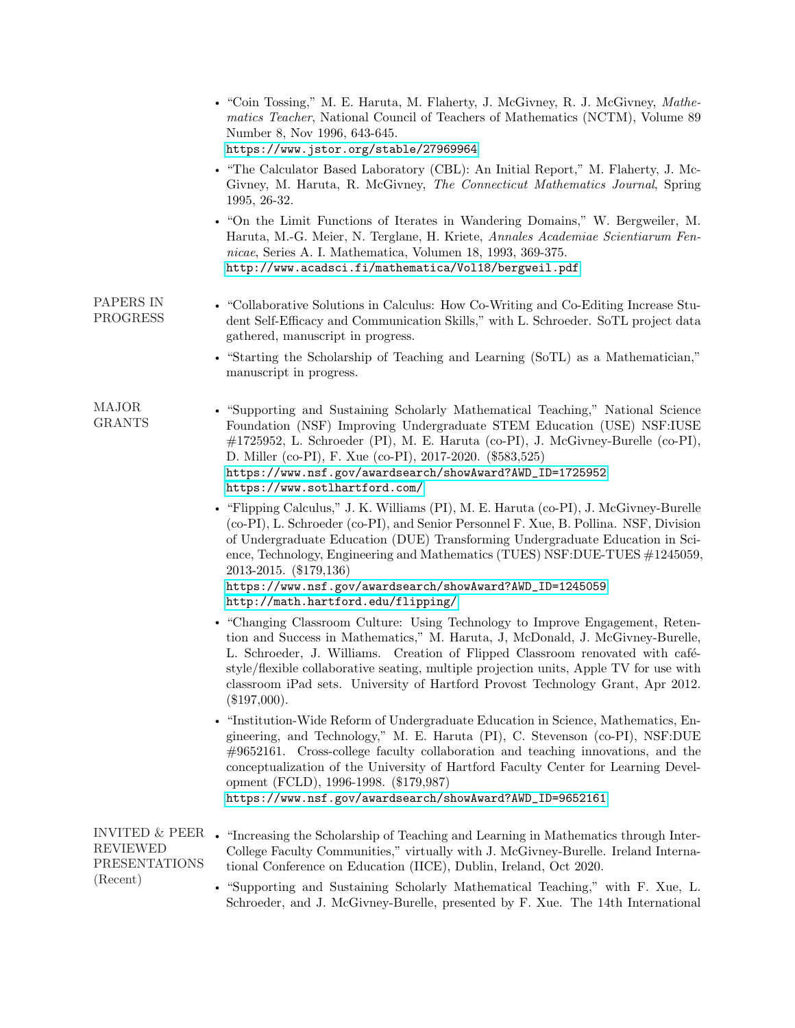|                           | • "Coin Tossing," M. E. Haruta, M. Flaherty, J. McGivney, R. J. McGivney, <i>Mathe</i> -<br>matics Teacher, National Council of Teachers of Mathematics (NCTM), Volume 89<br>Number 8, Nov 1996, 643-645.<br>https://www.jstor.org/stable/27969964                                                                                                                                                                                                                         |
|---------------------------|----------------------------------------------------------------------------------------------------------------------------------------------------------------------------------------------------------------------------------------------------------------------------------------------------------------------------------------------------------------------------------------------------------------------------------------------------------------------------|
|                           | • "The Calculator Based Laboratory (CBL): An Initial Report," M. Flaherty, J. Mc-<br>Givney, M. Haruta, R. McGivney, The Connecticut Mathematics Journal, Spring<br>1995, 26-32.                                                                                                                                                                                                                                                                                           |
|                           | • "On the Limit Functions of Iterates in Wandering Domains," W. Bergweiler, M.<br>Haruta, M.-G. Meier, N. Terglane, H. Kriete, Annales Academiae Scientiarum Fen-<br>nicae, Series A. I. Mathematica, Volumen 18, 1993, 369-375.<br>http://www.acadsci.fi/mathematica/Vol18/bergweil.pdf                                                                                                                                                                                   |
| PAPERS IN<br>PROGRESS     | • "Collaborative Solutions in Calculus: How Co-Writing and Co-Editing Increase Stu-<br>dent Self-Efficacy and Communication Skills," with L. Schroeder. SoTL project data<br>gathered, manuscript in progress.                                                                                                                                                                                                                                                             |
|                           | • "Starting the Scholarship of Teaching and Learning (SoTL) as a Mathematician,"<br>manuscript in progress.                                                                                                                                                                                                                                                                                                                                                                |
| MAJOR<br><b>GRANTS</b>    | • "Supporting and Sustaining Scholarly Mathematical Teaching," National Science<br>Foundation (NSF) Improving Undergraduate STEM Education (USE) NSF: IUSE<br>$\#1725952$ , L. Schroeder (PI), M. E. Haruta (co-PI), J. McGivney-Burelle (co-PI),<br>D. Miller (co-PI), F. Xue (co-PI), 2017-2020. (\$583,525)<br>https://www.nsf.gov/awardsearch/showAward?AWD_ID=1725952<br>https://www.sotlhartford.com/                                                                |
|                           | • "Flipping Calculus," J. K. Williams (PI), M. E. Haruta (co-PI), J. McGivney-Burelle<br>(co-PI), L. Schroeder (co-PI), and Senior Personnel F. Xue, B. Pollina. NSF, Division<br>of Undergraduate Education (DUE) Transforming Undergraduate Education in Sci-<br>ence, Technology, Engineering and Mathematics (TUES) NSF:DUE-TUES #1245059,<br>2013-2015. (\$179,136)<br>https://www.nsf.gov/awardsearch/showAward?AWD_ID=1245059<br>http://math.hartford.edu/flipping/ |
|                           | • "Changing Classroom Culture: Using Technology to Improve Engagement, Reten-<br>tion and Success in Mathematics," M. Haruta, J. McDonald, J. McGivney-Burelle,<br>L. Schroeder, J. Williams. Creation of Flipped Classroom renovated with café-<br>style/flexible collaborative seating, multiple projection units, Apple TV for use with<br>classroom iPad sets. University of Hartford Provost Technology Grant, Apr 2012.<br>$(\$197,000).$                            |
|                           | • "Institution-Wide Reform of Undergraduate Education in Science, Mathematics, En-<br>gineering, and Technology," M. E. Haruta (PI), C. Stevenson (co-PI), NSF:DUE<br>$\#9652161$ . Cross-college faculty collaboration and teaching innovations, and the<br>conceptualization of the University of Hartford Faculty Center for Learning Devel-<br>opment (FCLD), 1996-1998. (\$179,987)<br>https://www.nsf.gov/awardsearch/showAward?AWD_ID=9652161.                      |
| REVIEWED<br>PRESENTATIONS | INVITED & PEER $\bullet$ "Increasing the Scholarship of Teaching and Learning in Mathematics through Inter-<br>College Faculty Communities," virtually with J. McGivney-Burelle. Ireland Interna-<br>tional Conference on Education (IICE), Dublin, Ireland, Oct 2020.                                                                                                                                                                                                     |
| (Recent)                  | • "Supporting and Sustaining Scholarly Mathematical Teaching," with F. Xue, L.                                                                                                                                                                                                                                                                                                                                                                                             |

Schroeder, and J. McGivney-Burelle, presented by F. Xue. The 14th International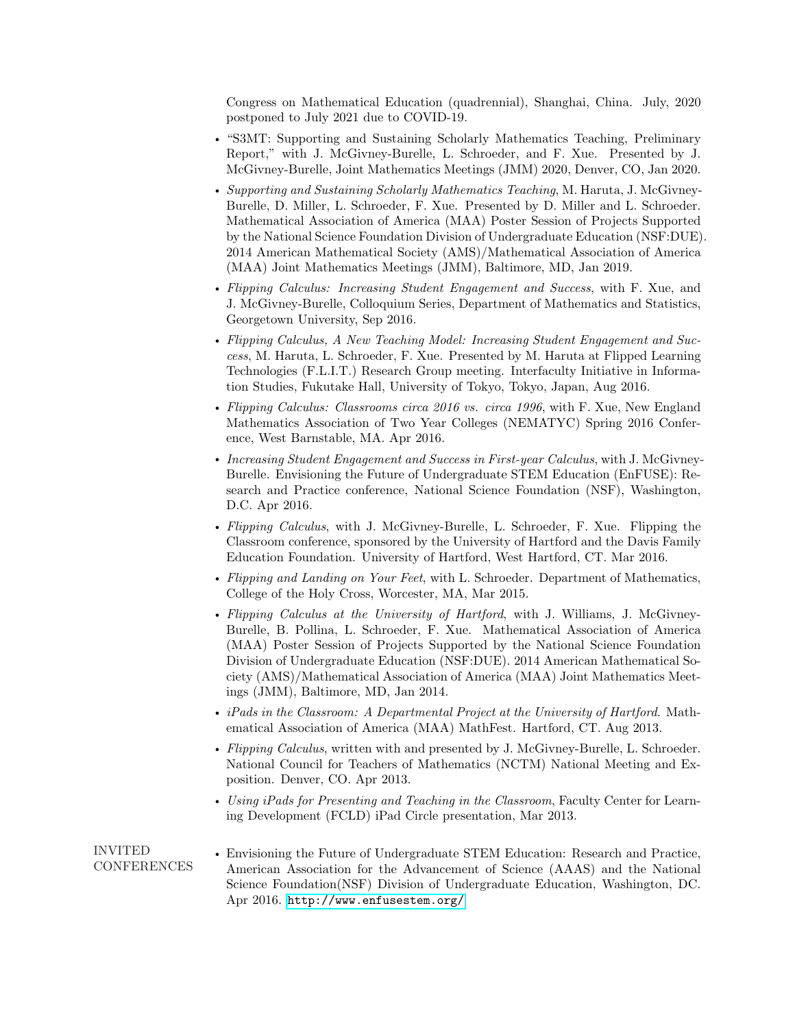Congress on Mathematical Education (quadrennial), Shanghai, China. July, 2020 postponed to July 2021 due to COVID-19.

- "S3MT: Supporting and Sustaining Scholarly Mathematics Teaching, Preliminary Report," with J. McGivney-Burelle, L. Schroeder, and F. Xue. Presented by J. McGivney-Burelle, Joint Mathematics Meetings (JMM) 2020, Denver, CO, Jan 2020.
- Supporting and Sustaining Scholarly Mathematics Teaching, M. Haruta, J. McGivney-Burelle, D. Miller, L. Schroeder, F. Xue. Presented by D. Miller and L. Schroeder. Mathematical Association of America (MAA) Poster Session of Projects Supported by the National Science Foundation Division of Undergraduate Education (NSF:DUE). 2014 American Mathematical Society (AMS)/Mathematical Association of America (MAA) Joint Mathematics Meetings (JMM), Baltimore, MD, Jan 2019.
- Flipping Calculus: Increasing Student Engagement and Success, with F. Xue, and J. McGivney-Burelle, Colloquium Series, Department of Mathematics and Statistics, Georgetown University, Sep 2016.
- Flipping Calculus, A New Teaching Model: Increasing Student Engagement and Success, M. Haruta, L. Schroeder, F. Xue. Presented by M. Haruta at Flipped Learning Technologies (F.L.I.T.) Research Group meeting. Interfaculty Initiative in Information Studies, Fukutake Hall, University of Tokyo, Tokyo, Japan, Aug 2016.
- Flipping Calculus: Classrooms circa 2016 vs. circa 1996, with F. Xue, New England Mathematics Association of Two Year Colleges (NEMATYC) Spring 2016 Conference, West Barnstable, MA. Apr 2016.
- Increasing Student Engagement and Success in First-year Calculus, with J. McGivney-Burelle. Envisioning the Future of Undergraduate STEM Education (EnFUSE): Research and Practice conference, National Science Foundation (NSF), Washington, D.C. Apr 2016.
- Flipping Calculus, with J. McGivney-Burelle, L. Schroeder, F. Xue. Flipping the Classroom conference, sponsored by the University of Hartford and the Davis Family Education Foundation. University of Hartford, West Hartford, CT. Mar 2016.
- Flipping and Landing on Your Feet, with L. Schroeder. Department of Mathematics, College of the Holy Cross, Worcester, MA, Mar 2015.
- Flipping Calculus at the University of Hartford, with J. Williams, J. McGivney-Burelle, B. Pollina, L. Schroeder, F. Xue. Mathematical Association of America (MAA) Poster Session of Projects Supported by the National Science Foundation Division of Undergraduate Education (NSF:DUE). 2014 American Mathematical Society (AMS)/Mathematical Association of America (MAA) Joint Mathematics Meetings (JMM), Baltimore, MD, Jan 2014.
- iPads in the Classroom: A Departmental Project at the University of Hartford. Mathematical Association of America (MAA) MathFest. Hartford, CT. Aug 2013.
- Flipping Calculus, written with and presented by J. McGivney-Burelle, L. Schroeder. National Council for Teachers of Mathematics (NCTM) National Meeting and Exposition. Denver, CO. Apr 2013.
- Using iPads for Presenting and Teaching in the Classroom, Faculty Center for Learning Development (FCLD) iPad Circle presentation, Mar 2013.

INVITED **CONFERENCES** • Envisioning the Future of Undergraduate STEM Education: Research and Practice, American Association for the Advancement of Science (AAAS) and the National Science Foundation(NSF) Division of Undergraduate Education, Washington, DC. Apr 2016. <http://www.enfusestem.org/>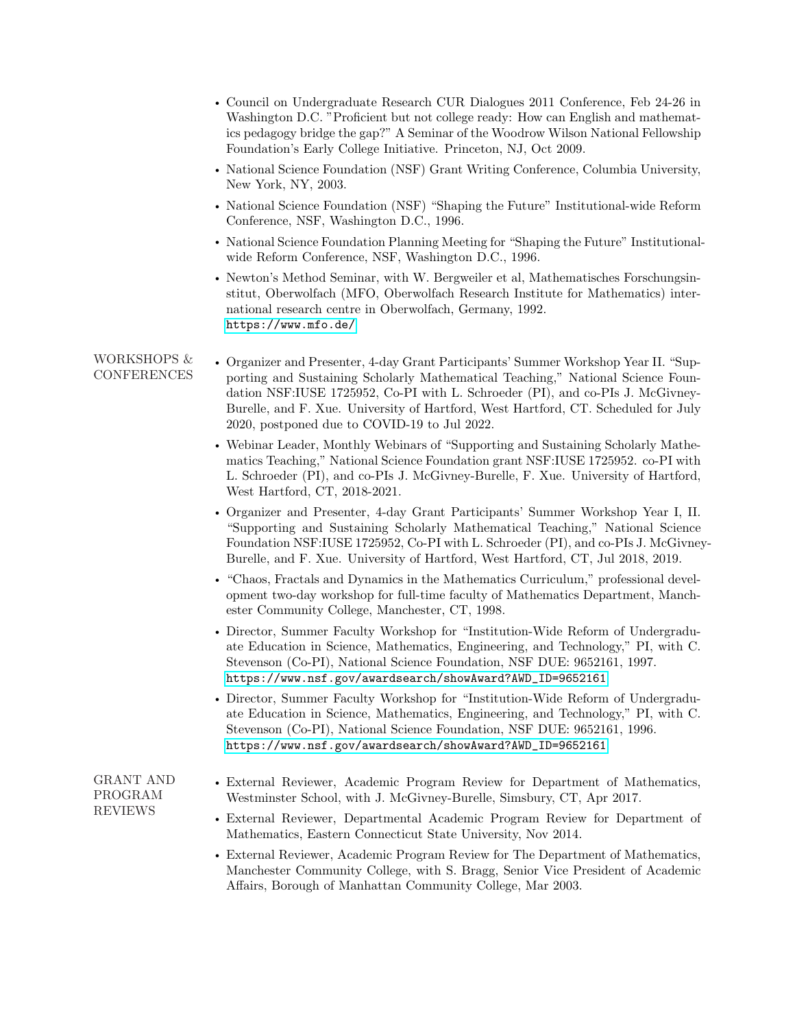- Council on Undergraduate Research CUR Dialogues 2011 Conference, Feb 24-26 in Washington D.C. "Proficient but not college ready: How can English and mathematics pedagogy bridge the gap?" A Seminar of the Woodrow Wilson National Fellowship Foundation's Early College Initiative. Princeton, NJ, Oct 2009.
- National Science Foundation (NSF) Grant Writing Conference, Columbia University, New York, NY, 2003.
- National Science Foundation (NSF) "Shaping the Future" Institutional-wide Reform Conference, NSF, Washington D.C., 1996.
- National Science Foundation Planning Meeting for "Shaping the Future" Institutionalwide Reform Conference, NSF, Washington D.C., 1996.
- Newton's Method Seminar, with W. Bergweiler et al, Mathematisches Forschungsinstitut, Oberwolfach (MFO, Oberwolfach Research Institute for Mathematics) international research centre in Oberwolfach, Germany, 1992. <https://www.mfo.de/>
- WORKSHOPS & **CONFERENCES** • Organizer and Presenter, 4-day Grant Participants' Summer Workshop Year II. "Supporting and Sustaining Scholarly Mathematical Teaching," National Science Foundation NSF:IUSE 1725952, Co-PI with L. Schroeder (PI), and co-PIs J. McGivney-Burelle, and F. Xue. University of Hartford, West Hartford, CT. Scheduled for July 2020, postponed due to COVID-19 to Jul 2022.
	- Webinar Leader, Monthly Webinars of "Supporting and Sustaining Scholarly Mathematics Teaching," National Science Foundation grant NSF:IUSE 1725952. co-PI with L. Schroeder (PI), and co-PIs J. McGivney-Burelle, F. Xue. University of Hartford, West Hartford, CT, 2018-2021.
	- Organizer and Presenter, 4-day Grant Participants' Summer Workshop Year I, II. "Supporting and Sustaining Scholarly Mathematical Teaching," National Science Foundation NSF:IUSE 1725952, Co-PI with L. Schroeder (PI), and co-PIs J. McGivney-Burelle, and F. Xue. University of Hartford, West Hartford, CT, Jul 2018, 2019.
	- "Chaos, Fractals and Dynamics in the Mathematics Curriculum," professional development two-day workshop for full-time faculty of Mathematics Department, Manchester Community College, Manchester, CT, 1998.
	- Director, Summer Faculty Workshop for "Institution-Wide Reform of Undergraduate Education in Science, Mathematics, Engineering, and Technology," PI, with C. Stevenson (Co-PI), National Science Foundation, NSF DUE: 9652161, 1997. [https://www.nsf.gov/awardsearch/showAward?AWD\\_ID=9652161](https://www.nsf.gov/awardsearch/showAward?AWD_ID=9652161)
	- Director, Summer Faculty Workshop for "Institution-Wide Reform of Undergraduate Education in Science, Mathematics, Engineering, and Technology," PI, with C. Stevenson (Co-PI), National Science Foundation, NSF DUE: 9652161, 1996. [https://www.nsf.gov/awardsearch/showAward?AWD\\_ID=9652161](https://www.nsf.gov/awardsearch/showAward?AWD_ID=9652161)

GRANT AND PROGRAM REVIEWS

- External Reviewer, Academic Program Review for Department of Mathematics, Westminster School, with J. McGivney-Burelle, Simsbury, CT, Apr 2017.
- External Reviewer, Departmental Academic Program Review for Department of Mathematics, Eastern Connecticut State University, Nov 2014.
- External Reviewer, Academic Program Review for The Department of Mathematics, Manchester Community College, with S. Bragg, Senior Vice President of Academic Affairs, Borough of Manhattan Community College, Mar 2003.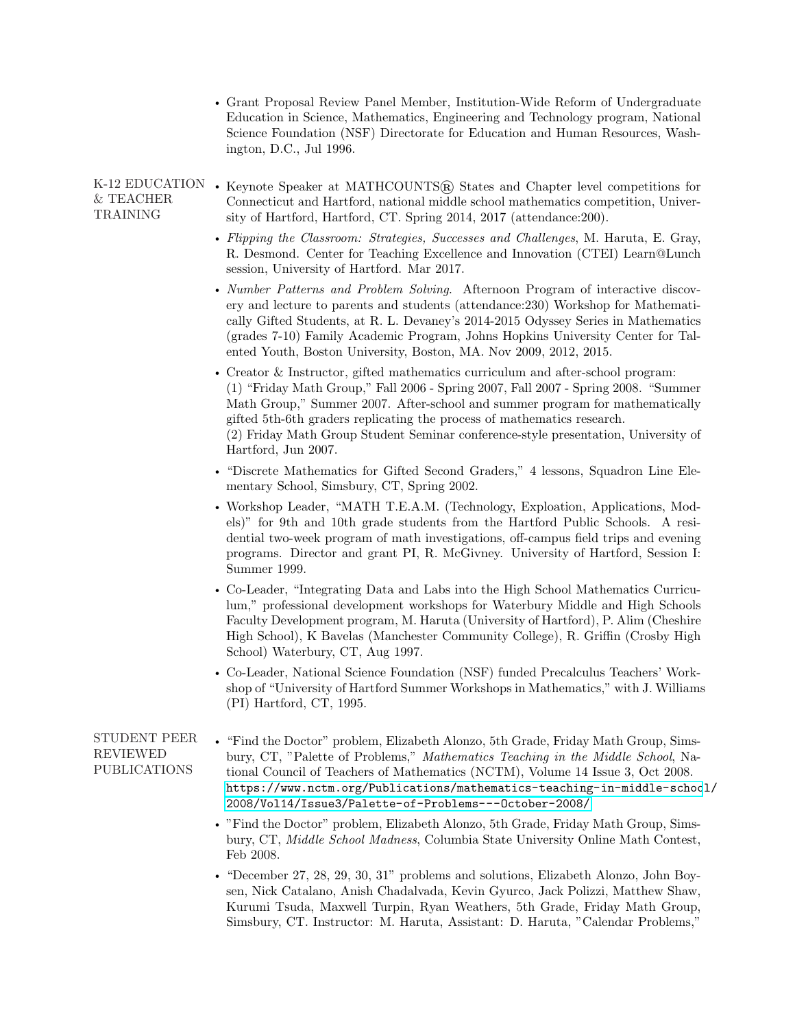|                                                 | • Grant Proposal Review Panel Member, Institution-Wide Reform of Undergraduate<br>Education in Science, Mathematics, Engineering and Technology program, National<br>Science Foundation (NSF) Directorate for Education and Human Resources, Wash-<br>ington, D.C., Jul 1996.                                                                                                                                                                    |
|-------------------------------------------------|--------------------------------------------------------------------------------------------------------------------------------------------------------------------------------------------------------------------------------------------------------------------------------------------------------------------------------------------------------------------------------------------------------------------------------------------------|
| K-12 EDUCATION<br>& TEACHER<br>TRAINING         | • Keynote Speaker at MATHCOUNTS® States and Chapter level competitions for<br>Connecticut and Hartford, national middle school mathematics competition, Univer-<br>sity of Hartford, Hartford, CT. Spring 2014, 2017 (attendance: 200).                                                                                                                                                                                                          |
|                                                 | • Flipping the Classroom: Strategies, Successes and Challenges, M. Haruta, E. Gray,<br>R. Desmond. Center for Teaching Excellence and Innovation (CTEI) Learn@Lunch<br>session, University of Hartford. Mar 2017.                                                                                                                                                                                                                                |
|                                                 | • Number Patterns and Problem Solving. Afternoon Program of interactive discov-<br>ery and lecture to parents and students (attendance: 230) Workshop for Mathemati-<br>cally Gifted Students, at R. L. Devaney's 2014-2015 Odyssey Series in Mathematics<br>(grades 7-10) Family Academic Program, Johns Hopkins University Center for Tal-<br>ented Youth, Boston University, Boston, MA. Nov 2009, 2012, 2015.                                |
|                                                 | • Creator $\&$ Instructor, gifted mathematics curriculum and after-school program:<br>(1) "Friday Math Group," Fall 2006 - Spring 2007, Fall 2007 - Spring 2008. "Summer<br>Math Group," Summer 2007. After-school and summer program for mathematically<br>gifted 5th-6th graders replicating the process of mathematics research.<br>(2) Friday Math Group Student Seminar conference-style presentation, University of<br>Hartford, Jun 2007. |
|                                                 | • "Discrete Mathematics for Gifted Second Graders," 4 lessons, Squadron Line Ele-<br>mentary School, Simsbury, CT, Spring 2002.                                                                                                                                                                                                                                                                                                                  |
|                                                 | • Workshop Leader, "MATH T.E.A.M. (Technology, Exploation, Applications, Mod-<br>els)" for 9th and 10th grade students from the Hartford Public Schools. A resi-<br>dential two-week program of math investigations, off-campus field trips and evening<br>programs. Director and grant PI, R. McGivney. University of Hartford, Session I:<br>Summer 1999.                                                                                      |
|                                                 | • Co-Leader, "Integrating Data and Labs into the High School Mathematics Curricu-<br>lum," professional development workshops for Waterbury Middle and High Schools<br>Faculty Development program, M. Haruta (University of Hartford), P. Alim (Cheshire<br>High School), K Bavelas (Manchester Community College), R. Griffin (Crosby High<br>School) Waterbury, CT, Aug 1997.                                                                 |
|                                                 | • Co-Leader, National Science Foundation (NSF) funded Precalculus Teachers' Work-<br>shop of "University of Hartford Summer Workshops in Mathematics," with J. Williams<br>(PI) Hartford, CT, 1995.                                                                                                                                                                                                                                              |
| STUDENT PEER<br>REVIEWED<br><b>PUBLICATIONS</b> | • "Find the Doctor" problem, Elizabeth Alonzo, 5th Grade, Friday Math Group, Sims-<br>bury, CT, "Palette of Problems," Mathematics Teaching in the Middle School, Na-<br>tional Council of Teachers of Mathematics (NCTM), Volume 14 Issue 3, Oct 2008.<br>https://www.nctm.org/Publications/mathematics-teaching-in-middle-school/<br>2008/Vol14/Issue3/Palette-of-Problems---October-2008/                                                     |
|                                                 | . "Find the Doctor" problem, Elizabeth Alonzo, 5th Grade, Friday Math Group, Sims-<br>bury, CT, Middle School Madness, Columbia State University Online Math Contest,<br>Feb 2008.                                                                                                                                                                                                                                                               |
|                                                 | • "December 27, 28, 29, 30, 31" problems and solutions, Elizabeth Alonzo, John Boy-<br>sen, Nick Catalano, Anish Chadalvada, Kevin Gyurco, Jack Polizzi, Matthew Shaw,<br>Kurumi Tsuda, Maxwell Turpin, Ryan Weathers, 5th Grade, Friday Math Group,                                                                                                                                                                                             |

Simsbury, CT. Instructor: M. Haruta, Assistant: D. Haruta, "Calendar Problems,"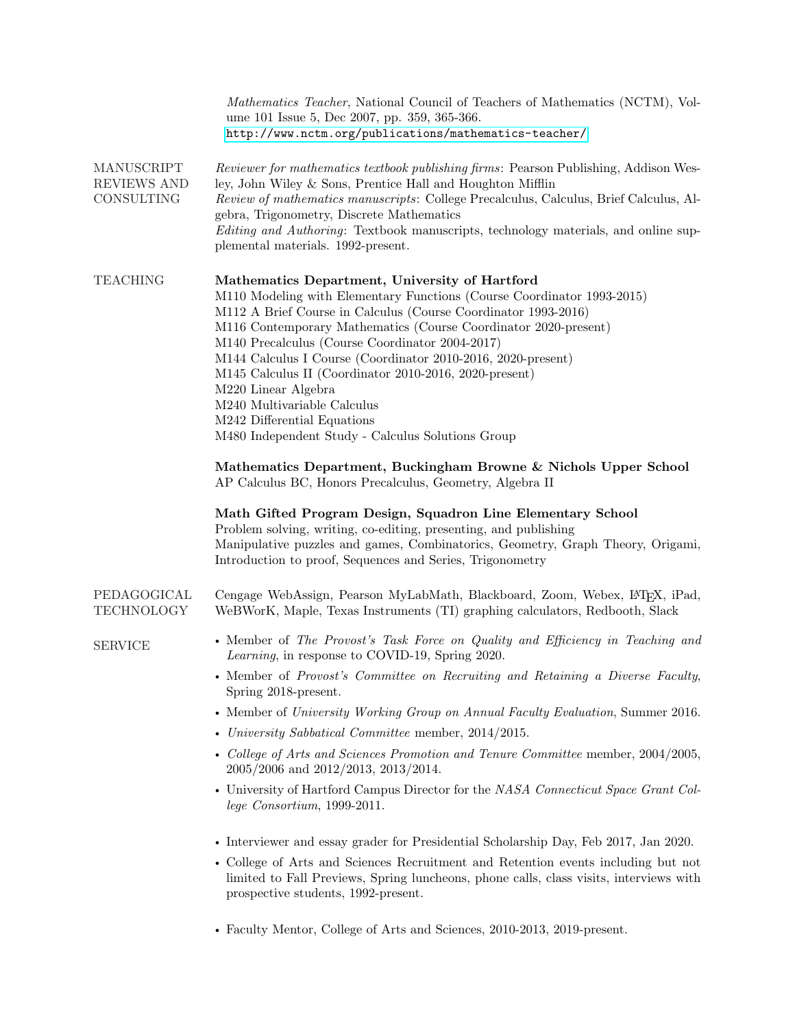|                                         | Mathematics Teacher, National Council of Teachers of Mathematics (NCTM), Vol-<br>ume 101 Issue 5, Dec 2007, pp. 359, 365-366.<br>http://www.nctm.org/publications/mathematics-teacher/                                                                                                                                                                                                                                                     |
|-----------------------------------------|--------------------------------------------------------------------------------------------------------------------------------------------------------------------------------------------------------------------------------------------------------------------------------------------------------------------------------------------------------------------------------------------------------------------------------------------|
| MANUSCRIPT<br>REVIEWS AND<br>CONSULTING | Reviewer for mathematics textbook publishing firms: Pearson Publishing, Addison Wes-<br>ley, John Wiley & Sons, Prentice Hall and Houghton Mifflin<br>Review of mathematics manuscripts: College Precalculus, Calculus, Brief Calculus, Al-                                                                                                                                                                                                |
|                                         | gebra, Trigonometry, Discrete Mathematics<br>Editing and Authoring: Textbook manuscripts, technology materials, and online sup-<br>plemental materials. 1992-present.                                                                                                                                                                                                                                                                      |
|                                         |                                                                                                                                                                                                                                                                                                                                                                                                                                            |
| <b>TEACHING</b>                         | Mathematics Department, University of Hartford<br>M110 Modeling with Elementary Functions (Course Coordinator 1993-2015)<br>M112 A Brief Course in Calculus (Course Coordinator 1993-2016)<br>M116 Contemporary Mathematics (Course Coordinator 2020-present)<br>M140 Precalculus (Course Coordinator 2004-2017)<br>M144 Calculus I Course (Coordinator 2010-2016, 2020-present)<br>M145 Calculus II (Coordinator 2010-2016, 2020-present) |
|                                         | M220 Linear Algebra<br>M240 Multivariable Calculus                                                                                                                                                                                                                                                                                                                                                                                         |
|                                         | M242 Differential Equations<br>M480 Independent Study - Calculus Solutions Group                                                                                                                                                                                                                                                                                                                                                           |
|                                         | Mathematics Department, Buckingham Browne & Nichols Upper School<br>AP Calculus BC, Honors Precalculus, Geometry, Algebra II                                                                                                                                                                                                                                                                                                               |
|                                         | Math Gifted Program Design, Squadron Line Elementary School<br>Problem solving, writing, co-editing, presenting, and publishing<br>Manipulative puzzles and games, Combinatorics, Geometry, Graph Theory, Origami,<br>Introduction to proof, Sequences and Series, Trigonometry                                                                                                                                                            |
| PEDAGOGICAL<br><b>TECHNOLOGY</b>        | Cengage WebAssign, Pearson MyLabMath, Blackboard, Zoom, Webex, IATEX, iPad,<br>WeBWorK, Maple, Texas Instruments (TI) graphing calculators, Redbooth, Slack                                                                                                                                                                                                                                                                                |
| <b>SERVICE</b>                          | • Member of The Provost's Task Force on Quality and Efficiency in Teaching and<br><i>Learning</i> , in response to COVID-19, Spring 2020.                                                                                                                                                                                                                                                                                                  |
|                                         | • Member of Provost's Committee on Recruiting and Retaining a Diverse Faculty,<br>Spring 2018-present.                                                                                                                                                                                                                                                                                                                                     |
|                                         | • Member of University Working Group on Annual Faculty Evaluation, Summer 2016.                                                                                                                                                                                                                                                                                                                                                            |
|                                         | • University Sabbatical Committee member, 2014/2015.                                                                                                                                                                                                                                                                                                                                                                                       |
|                                         | • College of Arts and Sciences Promotion and Tenure Committee member, 2004/2005,<br>2005/2006 and 2012/2013, 2013/2014.                                                                                                                                                                                                                                                                                                                    |
|                                         | • University of Hartford Campus Director for the NASA Connecticut Space Grant Col-<br>$lege\ Consortium, 1999-2011.$                                                                                                                                                                                                                                                                                                                       |
|                                         | • Interviewer and essay grader for Presidential Scholarship Day, Feb 2017, Jan 2020.                                                                                                                                                                                                                                                                                                                                                       |
|                                         | • College of Arts and Sciences Recruitment and Retention events including but not<br>limited to Fall Previews, Spring luncheons, phone calls, class visits, interviews with<br>prospective students, 1992-present.                                                                                                                                                                                                                         |
|                                         | • Faculty Mentor, College of Arts and Sciences, 2010-2013, 2019-present.                                                                                                                                                                                                                                                                                                                                                                   |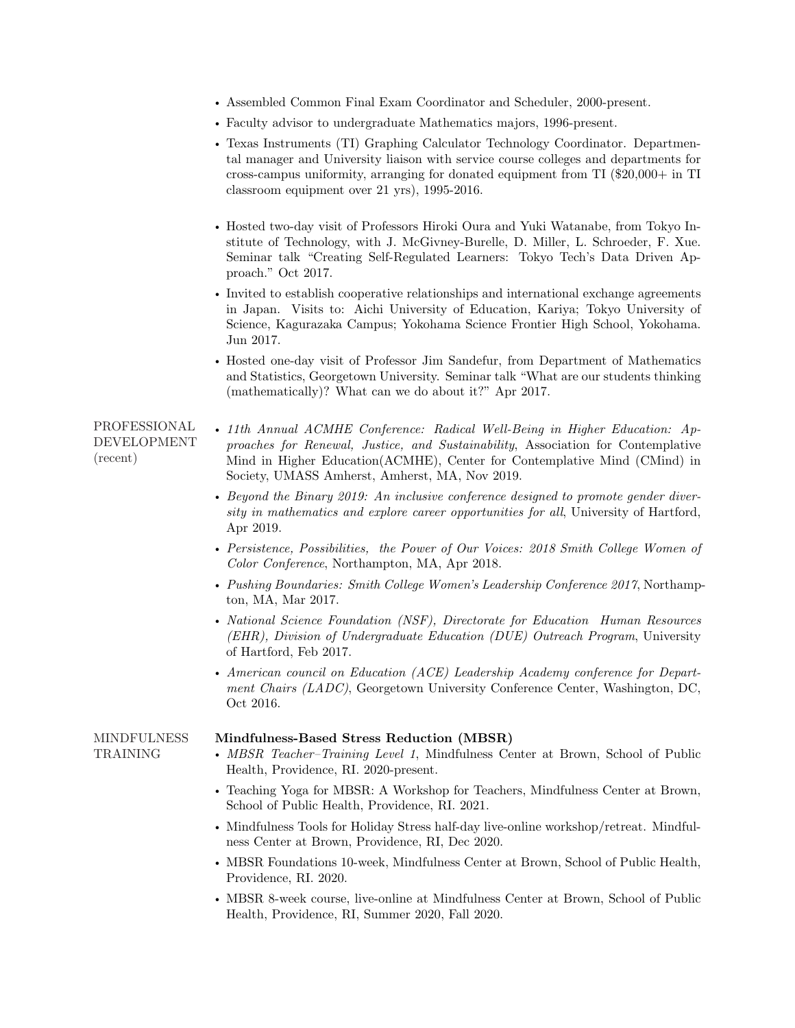- Assembled Common Final Exam Coordinator and Scheduler, 2000-present.
- Faculty advisor to undergraduate Mathematics majors, 1996-present.
- Texas Instruments (TI) Graphing Calculator Technology Coordinator. Departmental manager and University liaison with service course colleges and departments for cross-campus uniformity, arranging for donated equipment from TI (\$20,000+ in TI classroom equipment over 21 yrs), 1995-2016.
- Hosted two-day visit of Professors Hiroki Oura and Yuki Watanabe, from Tokyo Institute of Technology, with J. McGivney-Burelle, D. Miller, L. Schroeder, F. Xue. Seminar talk "Creating Self-Regulated Learners: Tokyo Tech's Data Driven Approach." Oct 2017.
- Invited to establish cooperative relationships and international exchange agreements in Japan. Visits to: Aichi University of Education, Kariya; Tokyo University of Science, Kagurazaka Campus; Yokohama Science Frontier High School, Yokohama. Jun 2017.
- Hosted one-day visit of Professor Jim Sandefur, from Department of Mathematics and Statistics, Georgetown University. Seminar talk "What are our students thinking (mathematically)? What can we do about it?" Apr 2017.
- PROFESSIONAL DEVELOPMENT (recent) • 11th Annual ACMHE Conference: Radical Well-Being in Higher Education: Approaches for Renewal, Justice, and Sustainability, Association for Contemplative Mind in Higher Education(ACMHE), Center for Contemplative Mind (CMind) in Society, UMASS Amherst, Amherst, MA, Nov 2019.
	- Beyond the Binary 2019: An inclusive conference designed to promote gender diversity in mathematics and explore career opportunities for all, University of Hartford, Apr 2019.
	- Persistence, Possibilities, the Power of Our Voices: 2018 Smith College Women of Color Conference, Northampton, MA, Apr 2018.
	- Pushing Boundaries: Smith College Women's Leadership Conference 2017, Northampton, MA, Mar 2017.
	- National Science Foundation (NSF), Directorate for Education Human Resources (EHR), Division of Undergraduate Education (DUE) Outreach Program, University of Hartford, Feb 2017.
	- American council on Education (ACE) Leadership Academy conference for Department Chairs (LADC), Georgetown University Conference Center, Washington, DC, Oct 2016.

#### MINDFULNESS Mindfulness-Based Stress Reduction (MBSR)

TRAINING

- MBSR Teacher–Training Level 1, Mindfulness Center at Brown, School of Public Health, Providence, RI. 2020-present.
	- Teaching Yoga for MBSR: A Workshop for Teachers, Mindfulness Center at Brown, School of Public Health, Providence, RI. 2021.
	- Mindfulness Tools for Holiday Stress half-day live-online workshop/retreat. Mindfulness Center at Brown, Providence, RI, Dec 2020.
	- MBSR Foundations 10-week, Mindfulness Center at Brown, School of Public Health, Providence, RI. 2020.
	- MBSR 8-week course, live-online at Mindfulness Center at Brown, School of Public Health, Providence, RI, Summer 2020, Fall 2020.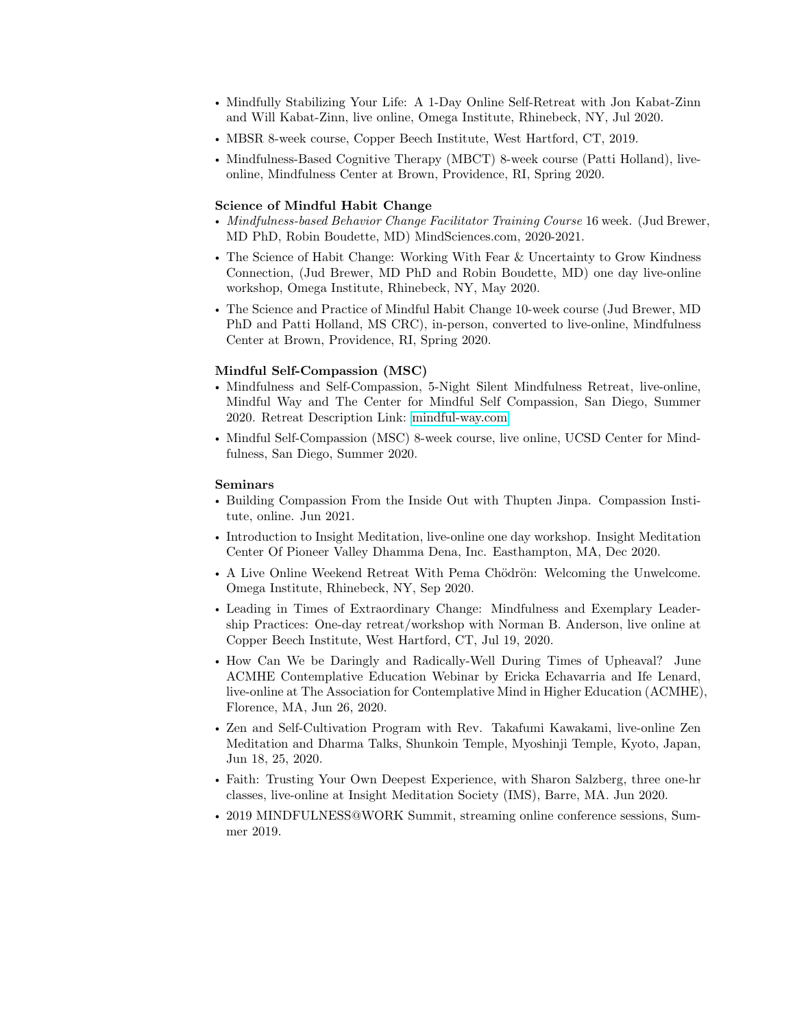- Mindfully Stabilizing Your Life: A 1-Day Online Self-Retreat with Jon Kabat-Zinn and Will Kabat-Zinn, live online, Omega Institute, Rhinebeck, NY, Jul 2020.
- MBSR 8-week course, Copper Beech Institute, West Hartford, CT, 2019.
- Mindfulness-Based Cognitive Therapy (MBCT) 8-week course (Patti Holland), liveonline, Mindfulness Center at Brown, Providence, RI, Spring 2020.

## Science of Mindful Habit Change

- Mindfulness-based Behavior Change Facilitator Training Course 16 week. (Jud Brewer, MD PhD, Robin Boudette, MD) MindSciences.com, 2020-2021.
- The Science of Habit Change: Working With Fear & Uncertainty to Grow Kindness Connection, (Jud Brewer, MD PhD and Robin Boudette, MD) one day live-online workshop, Omega Institute, Rhinebeck, NY, May 2020.
- The Science and Practice of Mindful Habit Change 10-week course (Jud Brewer, MD PhD and Patti Holland, MS CRC), in-person, converted to live-online, Mindfulness Center at Brown, Providence, RI, Spring 2020.

### Mindful Self-Compassion (MSC)

- Mindfulness and Self-Compassion, 5-Night Silent Mindfulness Retreat, live-online, Mindful Way and The Center for Mindful Self Compassion, San Diego, Summer 2020. Retreat Description Link: [mindful-way.com](https://www.mindful-way.com/events/mindfulness-and-self-compassion-a-5-night-silent-mindfulness-retreat/)
- Mindful Self-Compassion (MSC) 8-week course, live online, UCSD Center for Mindfulness, San Diego, Summer 2020.

#### Seminars

- Building Compassion From the Inside Out with Thupten Jinpa. Compassion Institute, online. Jun 2021.
- Introduction to Insight Meditation, live-online one day workshop. Insight Meditation Center Of Pioneer Valley Dhamma Dena, Inc. Easthampton, MA, Dec 2020.
- A Live Online Weekend Retreat With Pema Chödrön: Welcoming the Unwelcome. Omega Institute, Rhinebeck, NY, Sep 2020.
- Leading in Times of Extraordinary Change: Mindfulness and Exemplary Leadership Practices: One-day retreat/workshop with Norman B. Anderson, live online at Copper Beech Institute, West Hartford, CT, Jul 19, 2020.
- How Can We be Daringly and Radically-Well During Times of Upheaval? June ACMHE Contemplative Education Webinar by Ericka Echavarria and Ife Lenard, live-online at The Association for Contemplative Mind in Higher Education (ACMHE), Florence, MA, Jun 26, 2020.
- Zen and Self-Cultivation Program with Rev. Takafumi Kawakami, live-online Zen Meditation and Dharma Talks, Shunkoin Temple, Myoshinji Temple, Kyoto, Japan, Jun 18, 25, 2020.
- Faith: Trusting Your Own Deepest Experience, with Sharon Salzberg, three one-hr classes, live-online at Insight Meditation Society (IMS), Barre, MA. Jun 2020.
- 2019 MINDFULNESS@WORK Summit, streaming online conference sessions, Summer 2019.